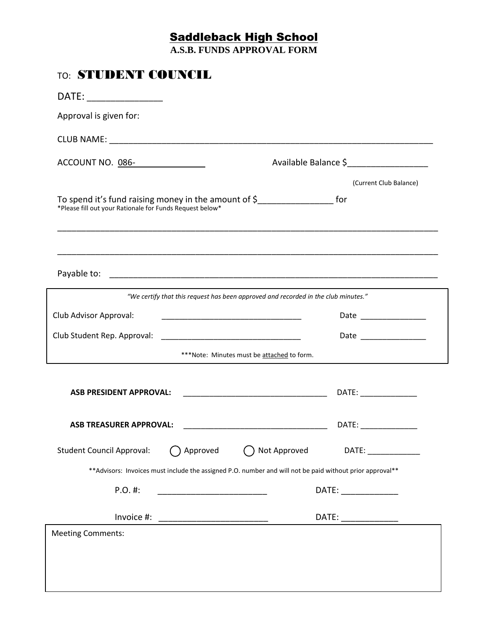## Saddleback High School

**A.S.B. FUNDS APPROVAL FORM**

| <b>TO: STUDENT COUNCIL</b>                                                                                                                             |                        |  |
|--------------------------------------------------------------------------------------------------------------------------------------------------------|------------------------|--|
| DATE: ________________                                                                                                                                 |                        |  |
| Approval is given for:                                                                                                                                 |                        |  |
|                                                                                                                                                        |                        |  |
| ACCOUNT NO. 086-                                                                                                                                       | Available Balance \$   |  |
|                                                                                                                                                        | (Current Club Balance) |  |
| To spend it's fund raising money in the amount of $\frac{1}{2}$ ______________________ for<br>*Please fill out your Rationale for Funds Request below* |                        |  |
|                                                                                                                                                        |                        |  |
| "We certify that this request has been approved and recorded in the club minutes."                                                                     |                        |  |
| Club Advisor Approval:                                                                                                                                 | Date ______________    |  |
|                                                                                                                                                        | Date ________________  |  |
| ***Note: Minutes must be attached to form.                                                                                                             |                        |  |
| <b>ASB PRESIDENT APPROVAL:</b>                                                                                                                         |                        |  |
| <b>ASB TREASURER APPROVAL:</b>                                                                                                                         | DATE:                  |  |
| Not Approved<br><b>Student Council Approval:</b><br>Approved                                                                                           | DATE: _______________  |  |
| ** Advisors: Invoices must include the assigned P.O. number and will not be paid without prior approval**                                              |                        |  |
| $P.O.$ #:                                                                                                                                              | DATE: _____________    |  |
| Invoice #:<br><u> 1989 - Jan Barnett, fransk politik (d. 1989)</u>                                                                                     | DATE:                  |  |
| <b>Meeting Comments:</b>                                                                                                                               |                        |  |
|                                                                                                                                                        |                        |  |
|                                                                                                                                                        |                        |  |
|                                                                                                                                                        |                        |  |